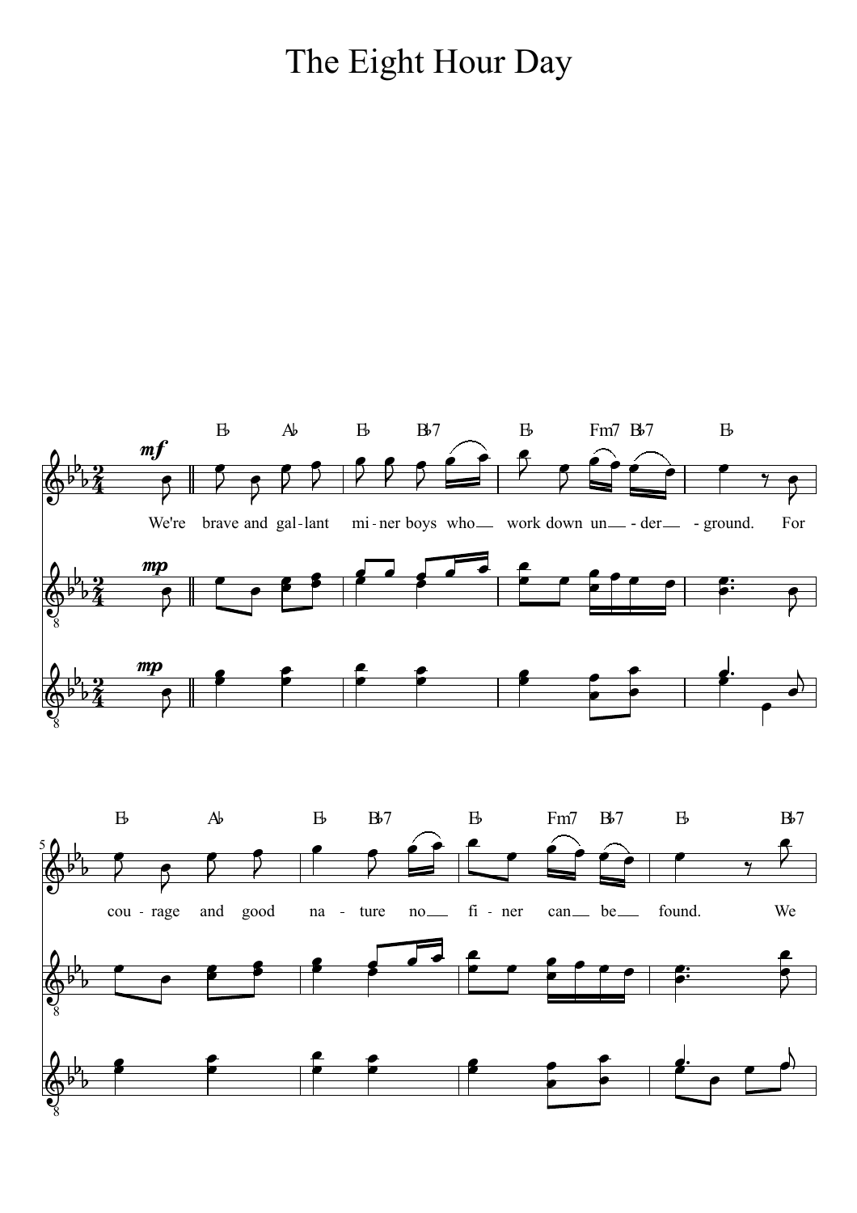## The Eight Hour Day

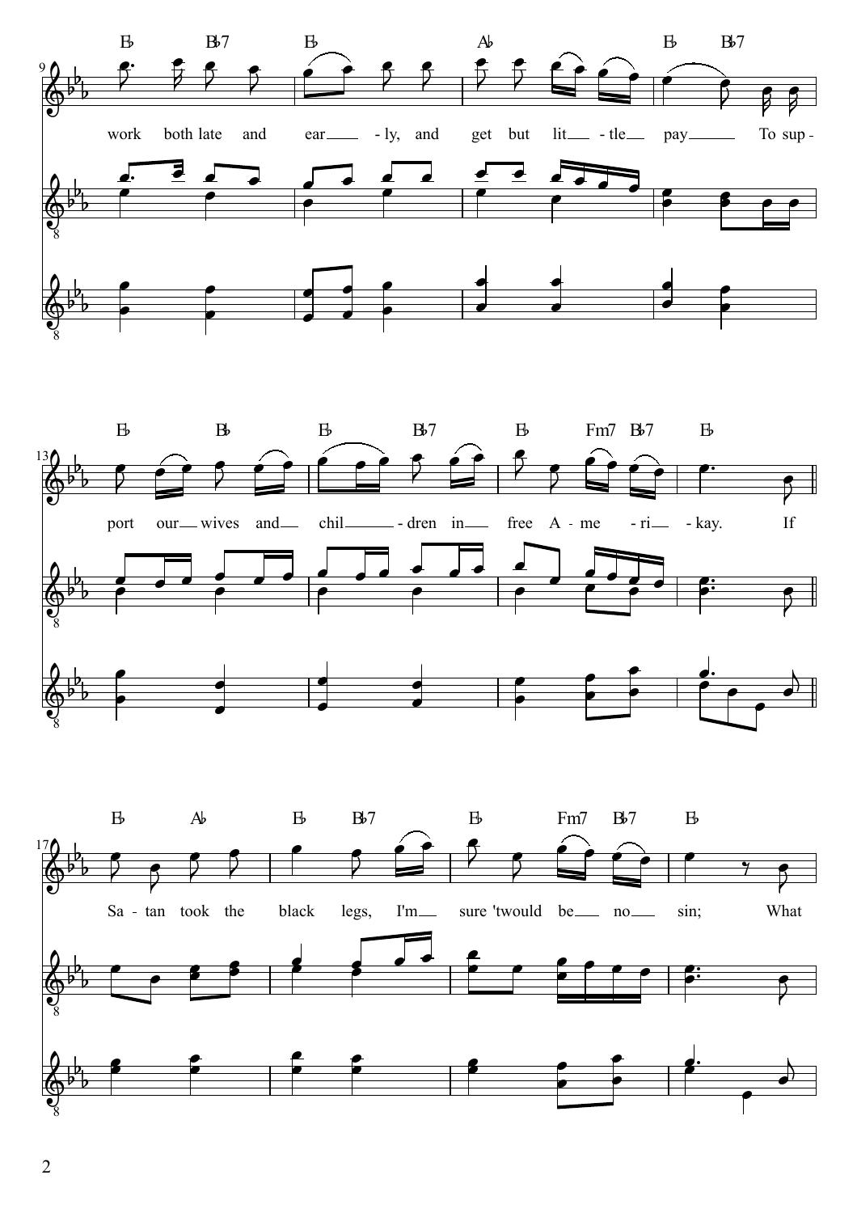